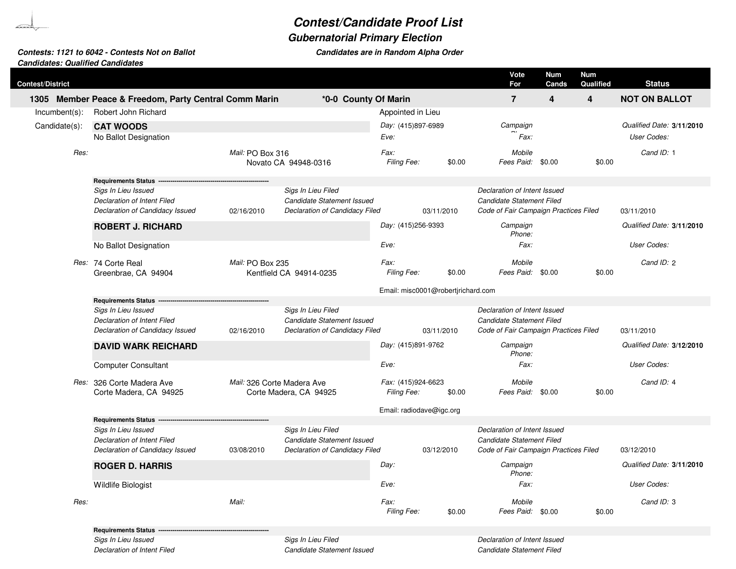## **Contest/Candidate Proof List**

## **Gubernatorial Primary Election**

## **Candidates: Qualified CandidatesContests: 1121 to 6042 - Contests Not on Ballot Candidates are in Random Alpha Order**

| <b>Contest/District</b> |                                                       |                            |                                |                                   |                                    | Vote<br>For                           | <b>Num</b><br>Cands | <b>Num</b><br>Qualified | <b>Status</b>             |
|-------------------------|-------------------------------------------------------|----------------------------|--------------------------------|-----------------------------------|------------------------------------|---------------------------------------|---------------------|-------------------------|---------------------------|
|                         | 1305 Member Peace & Freedom, Party Central Comm Marin |                            | *0-0 County Of Marin           |                                   |                                    | $\overline{7}$                        | 4                   | 4                       | <b>NOT ON BALLOT</b>      |
| $Incumbent(s)$ :        | Robert John Richard                                   |                            |                                | Appointed in Lieu                 |                                    |                                       |                     |                         |                           |
| Candidate(s):           | <b>CAT WOODS</b>                                      |                            |                                | Day: (415)897-6989                |                                    | Campaign                              |                     |                         | Qualified Date: 3/11/2010 |
|                         | No Ballot Designation                                 |                            |                                | Eve:                              |                                    | Fax:                                  |                     |                         | User Codes:               |
| Res:                    |                                                       | Mail: PO Box 316           | Novato CA 94948-0316           | Fax:<br>Filing Fee:               | \$0.00                             | Mobile                                | Fees Paid: \$0.00   | \$0.00                  | Cand ID: 1                |
|                         | <b>Requirements Status -</b>                          |                            |                                |                                   |                                    |                                       |                     |                         |                           |
|                         | Sigs In Lieu Issued                                   |                            | Sigs In Lieu Filed             |                                   |                                    | Declaration of Intent Issued          |                     |                         |                           |
|                         | Declaration of Intent Filed                           |                            | Candidate Statement Issued     |                                   |                                    | Candidate Statement Filed             |                     |                         |                           |
|                         | Declaration of Candidacy Issued                       | 02/16/2010                 | Declaration of Candidacy Filed |                                   | 03/11/2010                         | Code of Fair Campaign Practices Filed |                     |                         | 03/11/2010                |
|                         | <b>ROBERT J. RICHARD</b>                              |                            |                                | Day: (415)256-9393                |                                    | Campaign<br>Phone:                    |                     |                         | Qualified Date: 3/11/2010 |
|                         | No Ballot Designation                                 |                            |                                | Eve:                              |                                    | Fax:                                  |                     |                         | User Codes:               |
|                         | Res: 74 Corte Real<br>Greenbrae, CA 94904             | Mail: PO Box 235           | Kentfield CA 94914-0235        | Fax:<br>Filing Fee:               | \$0.00                             | Mobile                                | Fees Paid: \$0.00   | \$0.00                  | Cand ID: 2                |
|                         |                                                       |                            |                                |                                   | Email: misc0001@robertjrichard.com |                                       |                     |                         |                           |
|                         | <b>Requirements Status</b>                            |                            |                                |                                   |                                    |                                       |                     |                         |                           |
|                         | Sigs In Lieu Issued                                   |                            | Sigs In Lieu Filed             |                                   |                                    | Declaration of Intent Issued          |                     |                         |                           |
|                         | Declaration of Intent Filed                           |                            | Candidate Statement Issued     |                                   |                                    | <b>Candidate Statement Filed</b>      |                     |                         |                           |
|                         | Declaration of Candidacy Issued                       | 02/16/2010                 | Declaration of Candidacy Filed |                                   | 03/11/2010                         | Code of Fair Campaign Practices Filed |                     |                         | 03/11/2010                |
|                         | <b>DAVID WARK REICHARD</b>                            |                            |                                | Day: (415)891-9762                |                                    | Campaign<br>Phone:                    |                     |                         | Qualified Date: 3/12/2010 |
|                         | <b>Computer Consultant</b>                            |                            |                                | Eve:                              |                                    | Fax:                                  |                     |                         | User Codes:               |
|                         | Res: 326 Corte Madera Ave<br>Corte Madera, CA 94925   | Mail: 326 Corte Madera Ave | Corte Madera, CA 94925         | Fax: (415)924-6623<br>Filing Fee: | \$0.00                             | Mobile                                | Fees Paid: \$0.00   | \$0.00                  | Cand ID: 4                |
|                         |                                                       |                            |                                |                                   | Email: radiodave@igc.org           |                                       |                     |                         |                           |
|                         | Requirements Status ---                               |                            |                                |                                   |                                    |                                       |                     |                         |                           |
|                         | Sigs In Lieu Issued                                   |                            | Sigs In Lieu Filed             |                                   |                                    | Declaration of Intent Issued          |                     |                         |                           |
|                         | Declaration of Intent Filed                           |                            | Candidate Statement Issued     |                                   |                                    | <b>Candidate Statement Filed</b>      |                     |                         |                           |
|                         | Declaration of Candidacy Issued                       | 03/08/2010                 | Declaration of Candidacy Filed |                                   | 03/12/2010                         | Code of Fair Campaign Practices Filed |                     |                         | 03/12/2010                |
|                         | <b>ROGER D. HARRIS</b>                                |                            |                                | Day:                              |                                    | Campaign<br>Phone:                    |                     |                         | Qualified Date: 3/11/2010 |
|                         | <b>Wildlife Biologist</b>                             |                            |                                | Eve:                              |                                    | Fax:                                  |                     |                         | User Codes:               |
| Res:                    |                                                       | Mail:                      |                                | Fax:<br>Filing Fee:               | \$0.00                             | Mobile<br>Fees Paid:                  | \$0.00              | \$0.00                  | Cand ID: 3                |
|                         | <b>Requirements Status</b>                            |                            |                                |                                   |                                    |                                       |                     |                         |                           |
|                         | Sigs In Lieu Issued                                   |                            | Sigs In Lieu Filed             |                                   |                                    | Declaration of Intent Issued          |                     |                         |                           |

Declaration of Intent Filed Candidate Statement Issued Candidate Statement Filed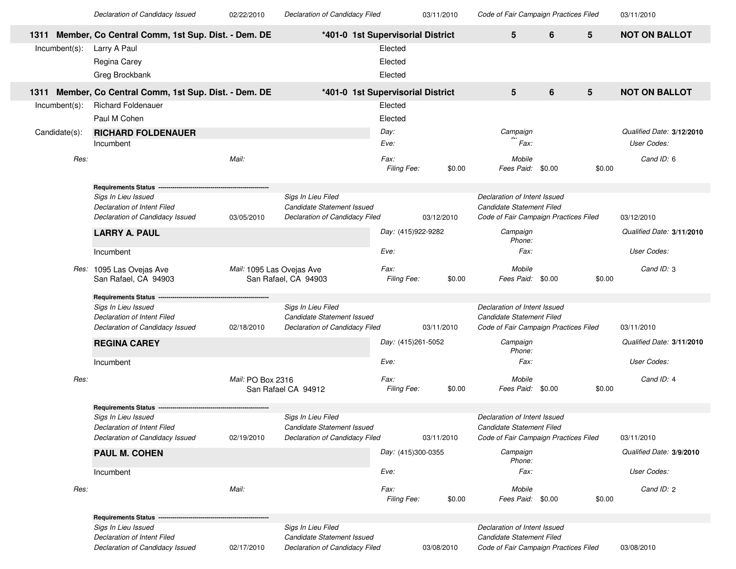Declaration of Candidacy Issued

02/22/2010

03/11/2010

Declaration of Candidacy Filed **COM** 03/11/2010 Code of Fair Campaign Practices Filed

03/11/2010

|                  | 1311 Member, Co Central Comm, 1st Sup. Dist. - Dem. DE |                           | *401-0 1st Supervisorial District                |                     |            | 5                                                         | 6      | 5      | <b>NOT ON BALLOT</b>      |
|------------------|--------------------------------------------------------|---------------------------|--------------------------------------------------|---------------------|------------|-----------------------------------------------------------|--------|--------|---------------------------|
| $Incumbent(s)$ : | Larry A Paul                                           |                           |                                                  | Elected             |            |                                                           |        |        |                           |
|                  | Regina Carey                                           |                           |                                                  | Elected             |            |                                                           |        |        |                           |
|                  | Greg Brockbank                                         |                           |                                                  | Elected             |            |                                                           |        |        |                           |
| 1311             | Member, Co Central Comm, 1st Sup. Dist. - Dem. DE      |                           | *401-0 1st Supervisorial District                |                     |            | 5                                                         | 6      | 5      | <b>NOT ON BALLOT</b>      |
| Incumbent(s):    | <b>Richard Foldenauer</b>                              |                           |                                                  | Elected             |            |                                                           |        |        |                           |
|                  | Paul M Cohen                                           |                           |                                                  | Elected             |            |                                                           |        |        |                           |
| Candidate(s):    | <b>RICHARD FOLDENAUER</b>                              |                           |                                                  | Day:                |            | Campaign                                                  |        |        | Qualified Date: 3/12/2010 |
|                  | Incumbent                                              |                           |                                                  | Eve:                |            | Fax:                                                      |        |        | User Codes:               |
|                  |                                                        |                           |                                                  |                     |            |                                                           |        |        |                           |
| Res:             |                                                        | Mail:                     |                                                  | Fax:<br>Filing Fee: | \$0.00     | Mobile<br>Fees Paid: \$0.00                               |        | \$0.00 | Cand ID: 6                |
|                  |                                                        |                           |                                                  |                     |            |                                                           |        |        |                           |
|                  | <b>Requirements Status</b>                             |                           |                                                  |                     |            |                                                           |        |        |                           |
|                  | Sigs In Lieu Issued<br>Declaration of Intent Filed     |                           | Sigs In Lieu Filed<br>Candidate Statement Issued |                     |            | Declaration of Intent Issued<br>Candidate Statement Filed |        |        |                           |
|                  | Declaration of Candidacy Issued                        | 03/05/2010                | Declaration of Candidacy Filed                   |                     | 03/12/2010 | Code of Fair Campaign Practices Filed                     |        |        | 03/12/2010                |
|                  |                                                        |                           |                                                  |                     |            |                                                           |        |        |                           |
|                  | <b>LARRY A. PAUL</b>                                   |                           |                                                  | Day: (415)922-9282  |            | Campaign<br>Phone:                                        |        |        | Qualified Date: 3/11/2010 |
|                  | Incumbent                                              |                           |                                                  | Eve:                |            | Fax:                                                      |        |        | User Codes:               |
|                  | Res: 1095 Las Ovejas Ave                               | Mail: 1095 Las Ovejas Ave |                                                  | Fax:                |            | Mobile                                                    |        |        | Cand ID: 3                |
|                  | San Rafael, CA 94903                                   |                           | San Rafael, CA 94903                             | Filing Fee:         | \$0.00     | Fees Paid:                                                | \$0.00 | \$0.00 |                           |
|                  | <b>Requirements Status</b>                             |                           |                                                  |                     |            |                                                           |        |        |                           |
|                  | Sigs In Lieu Issued                                    |                           | Sigs In Lieu Filed                               |                     |            | Declaration of Intent Issued                              |        |        |                           |
|                  | Declaration of Intent Filed                            |                           | Candidate Statement Issued                       |                     |            | Candidate Statement Filed                                 |        |        |                           |
|                  | Declaration of Candidacy Issued                        | 02/18/2010                | Declaration of Candidacy Filed                   |                     | 03/11/2010 | Code of Fair Campaign Practices Filed                     |        |        | 03/11/2010                |
|                  | <b>REGINA CAREY</b>                                    |                           |                                                  | Day: (415)261-5052  |            | Campaign<br>Phone:                                        |        |        | Qualified Date: 3/11/2010 |
|                  | Incumbent                                              |                           |                                                  | Eve:                |            | Fax:                                                      |        |        | User Codes:               |
| Res:             |                                                        | Mail: PO Box 2316         |                                                  | Fax:                |            | Mobile                                                    |        |        | Cand ID: 4                |
|                  |                                                        |                           | San Rafael CA 94912                              | Filing Fee:         | \$0.00     | Fees Paid:                                                | \$0.00 | \$0.00 |                           |
|                  |                                                        |                           |                                                  |                     |            |                                                           |        |        |                           |
|                  | <b>Requirements Status</b><br>Sigs In Lieu Issued      |                           | Sigs In Lieu Filed                               |                     |            | Declaration of Intent Issued                              |        |        |                           |
|                  | Declaration of Intent Filed                            |                           | Candidate Statement Issued                       |                     |            | Candidate Statement Filed                                 |        |        |                           |
|                  | Declaration of Candidacy Issued                        | 02/19/2010                | Declaration of Candidacy Filed                   |                     | 03/11/2010 | Code of Fair Campaign Practices Filed                     |        |        | 03/11/2010                |
|                  | <b>PAUL M. COHEN</b>                                   |                           |                                                  | Day: (415)300-0355  |            | Campaign<br>Phone:                                        |        |        | Qualified Date: 3/9/2010  |
|                  | Incumbent                                              |                           |                                                  | Eve:                |            | Fax:                                                      |        |        | User Codes:               |
|                  |                                                        |                           |                                                  |                     |            |                                                           |        |        |                           |
| Res:             |                                                        | Mail:                     |                                                  | Fax:<br>Filing Fee: | \$0.00     | Mobile<br>Fees Paid: \$0.00                               |        | \$0.00 | Cand ID: 2                |
|                  |                                                        |                           |                                                  |                     |            |                                                           |        |        |                           |
|                  | <b>Requirements Status -</b>                           |                           |                                                  |                     |            |                                                           |        |        |                           |
|                  | Sigs In Lieu Issued<br>Declaration of Intent Filed     |                           | Sigs In Lieu Filed<br>Candidate Statement Issued |                     |            | Declaration of Intent Issued<br>Candidate Statement Filed |        |        |                           |
|                  | Declaration of Candidacy Issued                        | 02/17/2010                | <b>Declaration of Candidacy Filed</b>            |                     | 03/08/2010 | Code of Fair Campaign Practices Filed                     |        |        | 03/08/2010                |
|                  |                                                        |                           |                                                  |                     |            |                                                           |        |        |                           |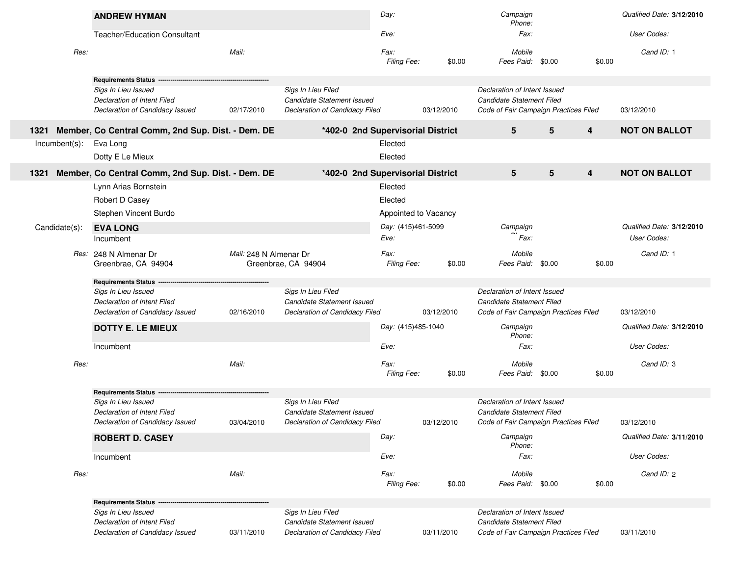|      |               | <b>ANDREW HYMAN</b>                                |                        |                                                                                    | Day:                 |            | Campaign<br>Phone:                                                                                        |        |        | Qualified Date: 3/12/2010 |
|------|---------------|----------------------------------------------------|------------------------|------------------------------------------------------------------------------------|----------------------|------------|-----------------------------------------------------------------------------------------------------------|--------|--------|---------------------------|
|      |               | <b>Teacher/Education Consultant</b>                |                        |                                                                                    | Eve:                 |            | Fax:                                                                                                      |        |        | User Codes:               |
|      | Res:          |                                                    | Mail:                  |                                                                                    | Fax:<br>Filing Fee:  | \$0.00     | Mobile<br>Fees Paid: \$0.00                                                                               |        | \$0.00 | Cand ID: 1                |
|      |               | <b>Requirements Status</b>                         |                        |                                                                                    |                      |            |                                                                                                           |        |        |                           |
|      |               | Sigs In Lieu Issued<br>Declaration of Intent Filed |                        | Sigs In Lieu Filed<br>Candidate Statement Issued                                   |                      |            | Declaration of Intent Issued<br><b>Candidate Statement Filed</b>                                          |        |        |                           |
|      |               | Declaration of Candidacy Issued                    | 02/17/2010             | Declaration of Candidacy Filed                                                     |                      | 03/12/2010 | Code of Fair Campaign Practices Filed                                                                     |        |        | 03/12/2010                |
| 1321 |               | Member, Co Central Comm, 2nd Sup. Dist. - Dem. DE  |                        | *402-0 2nd Supervisorial District                                                  |                      |            | 5                                                                                                         | 5      | 4      | <b>NOT ON BALLOT</b>      |
|      | Incumbent(s): | Eva Long                                           |                        |                                                                                    | Elected              |            |                                                                                                           |        |        |                           |
|      |               | Dotty E Le Mieux                                   |                        |                                                                                    | Elected              |            |                                                                                                           |        |        |                           |
| 1321 |               | Member, Co Central Comm, 2nd Sup. Dist. - Dem. DE  |                        | *402-0 2nd Supervisorial District                                                  |                      |            | 5                                                                                                         | 5      | 4      | <b>NOT ON BALLOT</b>      |
|      |               | Lynn Arias Bornstein                               |                        |                                                                                    | Elected              |            |                                                                                                           |        |        |                           |
|      |               | Robert D Casey                                     |                        |                                                                                    | Elected              |            |                                                                                                           |        |        |                           |
|      |               | Stephen Vincent Burdo                              |                        |                                                                                    | Appointed to Vacancy |            |                                                                                                           |        |        |                           |
|      | Candidate(s): | <b>EVA LONG</b>                                    |                        |                                                                                    | Day: (415)461-5099   |            | Campaign                                                                                                  |        |        | Qualified Date: 3/12/2010 |
|      |               | Incumbent                                          |                        |                                                                                    | Eve:                 |            | Fax:                                                                                                      |        |        | User Codes:               |
|      |               | Res: 248 N Almenar Dr<br>Greenbrae, CA 94904       | Mail: 248 N Almenar Dr | Greenbrae, CA 94904                                                                | Fax:<br>Filing Fee:  | \$0.00     | Mobile<br>Fees Paid:                                                                                      | \$0.00 | \$0.00 | Cand ID: 1                |
|      |               | <b>Requirements Status</b>                         |                        |                                                                                    |                      |            |                                                                                                           |        |        |                           |
|      |               | Sigs In Lieu Issued                                |                        | Sigs In Lieu Filed                                                                 |                      |            | Declaration of Intent Issued                                                                              |        |        |                           |
|      |               | Declaration of Intent Filed                        |                        | Candidate Statement Issued                                                         |                      |            | Candidate Statement Filed                                                                                 |        |        |                           |
|      |               | Declaration of Candidacy Issued                    | 02/16/2010             | Declaration of Candidacy Filed                                                     |                      | 03/12/2010 | Code of Fair Campaign Practices Filed                                                                     |        |        | 03/12/2010                |
|      |               | <b>DOTTY E. LE MIEUX</b>                           |                        |                                                                                    | Day: (415)485-1040   |            | Campaign<br>Phone:                                                                                        |        |        | Qualified Date: 3/12/2010 |
|      |               | Incumbent                                          |                        |                                                                                    | Eve:                 |            | Fax:                                                                                                      |        |        | User Codes:               |
|      | Res:          |                                                    | Mail:                  |                                                                                    | Fax:<br>Filing Fee:  | \$0.00     | Mobile<br>Fees Paid: \$0.00                                                                               |        | \$0.00 | Cand ID: 3                |
|      |               | <b>Requirements Status</b>                         |                        |                                                                                    |                      |            |                                                                                                           |        |        |                           |
|      |               | Sigs In Lieu Issued<br>Declaration of Intent Filed |                        | Sigs In Lieu Filed<br>Candidate Statement Issued                                   |                      |            | Declaration of Intent Issued<br><b>Candidate Statement Filed</b>                                          |        |        |                           |
|      |               | Declaration of Candidacy Issued                    | 03/04/2010             | Declaration of Candidacy Filed                                                     |                      | 03/12/2010 | Code of Fair Campaign Practices Filed                                                                     |        |        | 03/12/2010                |
|      |               | <b>ROBERT D. CASEY</b>                             |                        |                                                                                    | Day:                 |            | Campaign<br>Phone:                                                                                        |        |        | Qualified Date: 3/11/2010 |
|      |               | Incumbent                                          |                        |                                                                                    | Eve:                 |            | Fax:                                                                                                      |        |        | User Codes:               |
|      | Res:          |                                                    | Mail:                  |                                                                                    | Fax:<br>Filing Fee:  | \$0.00     | Mobile<br>Fees Paid: \$0.00                                                                               |        | \$0.00 | Cand ID: 2                |
|      |               | Requirements Status -                              |                        |                                                                                    |                      |            |                                                                                                           |        |        |                           |
|      |               | Sigs In Lieu Issued<br>Declaration of Intent Filed |                        | Sigs In Lieu Filed<br>Candidate Statement Issued<br>Declaration of Candidacy Filed |                      |            | Declaration of Intent Issued<br><b>Candidate Statement Filed</b><br>Code of Fair Campaign Practices Filed |        |        |                           |
|      |               | Declaration of Candidacy Issued                    | 03/11/2010             |                                                                                    |                      | 03/11/2010 |                                                                                                           |        |        | 03/11/2010                |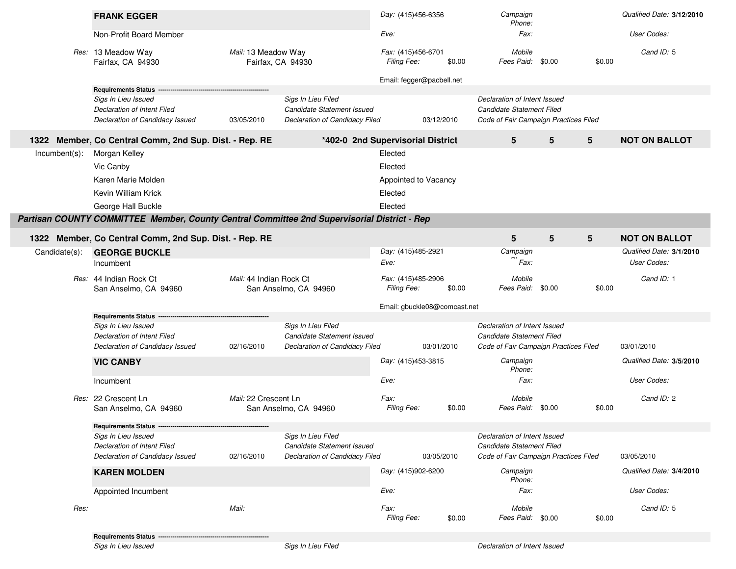|               | <b>FRANK EGGER</b>                                                                          |                                          |                                                  | Day: (415)456-6356                |            | Campaign<br>Phone:                                        |        |        | Qualified Date: 3/12/2010 |
|---------------|---------------------------------------------------------------------------------------------|------------------------------------------|--------------------------------------------------|-----------------------------------|------------|-----------------------------------------------------------|--------|--------|---------------------------|
|               | Non-Profit Board Member                                                                     |                                          |                                                  | Eve:                              |            | Fax:                                                      |        |        | User Codes:               |
|               | Res: 13 Meadow Way<br>Fairfax, CA 94930                                                     | Mail: 13 Meadow Way<br>Fairfax, CA 94930 |                                                  | Fax: (415)456-6701<br>Filing Fee: | \$0.00     | Mobile<br>Fees Paid:                                      | \$0.00 | \$0.00 | Cand ID: 5                |
|               | <b>Requirements Status</b>                                                                  |                                          |                                                  | Email: fegger@pacbell.net         |            |                                                           |        |        |                           |
|               | Sigs In Lieu Issued                                                                         |                                          | Sigs In Lieu Filed                               |                                   |            | Declaration of Intent Issued                              |        |        |                           |
|               | Declaration of Intent Filed                                                                 |                                          | Candidate Statement Issued                       |                                   |            | Candidate Statement Filed                                 |        |        |                           |
|               | Declaration of Candidacy Issued                                                             | 03/05/2010                               | Declaration of Candidacy Filed                   |                                   | 03/12/2010 | Code of Fair Campaign Practices Filed                     |        |        |                           |
|               | 1322 Member, Co Central Comm, 2nd Sup. Dist. - Rep. RE                                      |                                          | *402-0 2nd Supervisorial District                |                                   |            | 5                                                         | 5      | 5      | <b>NOT ON BALLOT</b>      |
| Incumbent(s): | Morgan Kelley                                                                               |                                          |                                                  | Elected                           |            |                                                           |        |        |                           |
|               | Vic Canby                                                                                   |                                          |                                                  | Elected                           |            |                                                           |        |        |                           |
|               | Karen Marie Molden                                                                          |                                          |                                                  | Appointed to Vacancy              |            |                                                           |        |        |                           |
|               | Kevin William Krick                                                                         |                                          |                                                  | Elected                           |            |                                                           |        |        |                           |
|               | George Hall Buckle                                                                          |                                          |                                                  | Elected                           |            |                                                           |        |        |                           |
|               | Partisan COUNTY COMMITTEE Member, County Central Committee 2nd Supervisorial District - Rep |                                          |                                                  |                                   |            |                                                           |        |        |                           |
|               |                                                                                             |                                          |                                                  |                                   |            |                                                           |        |        |                           |
|               | 1322 Member, Co Central Comm, 2nd Sup. Dist. - Rep. RE                                      |                                          |                                                  |                                   |            | 5                                                         | 5      | 5      | <b>NOT ON BALLOT</b>      |
| Candidate(s): | <b>GEORGE BUCKLE</b>                                                                        |                                          |                                                  | Day: (415)485-2921                |            | Campaign                                                  |        |        | Qualified Date: 3/1/2010  |
|               | Incumbent                                                                                   |                                          |                                                  | Eve:                              |            | Fax:                                                      |        |        | User Codes:               |
|               | Res: 44 Indian Rock Ct<br>San Anselmo, CA 94960                                             | Mail: 44 Indian Rock Ct                  | San Anselmo, CA 94960                            | Fax: (415)485-2906<br>Filing Fee: | \$0.00     | Mobile<br>Fees Paid:                                      | \$0.00 | \$0.00 | Cand ID: 1                |
|               |                                                                                             |                                          |                                                  | Email: gbuckle08@comcast.net      |            |                                                           |        |        |                           |
|               | Requirements Status ---                                                                     |                                          |                                                  |                                   |            |                                                           |        |        |                           |
|               | Sigs In Lieu Issued<br>Declaration of Intent Filed                                          |                                          | Sigs In Lieu Filed<br>Candidate Statement Issued |                                   |            | Declaration of Intent Issued<br>Candidate Statement Filed |        |        |                           |
|               | Declaration of Candidacy Issued                                                             | 02/16/2010                               | Declaration of Candidacy Filed                   |                                   | 03/01/2010 | Code of Fair Campaign Practices Filed                     |        |        | 03/01/2010                |
|               |                                                                                             |                                          |                                                  | Day: (415)453-3815                |            | Campaign                                                  |        |        | Qualified Date: 3/5/2010  |
|               | <b>VIC CANBY</b>                                                                            |                                          |                                                  |                                   |            | Phone:                                                    |        |        |                           |
|               | Incumbent                                                                                   |                                          |                                                  | Eve:                              |            | Fax:                                                      |        |        | User Codes:               |
|               | Res: 22 Crescent Ln                                                                         | Mail: 22 Crescent Ln                     |                                                  | Fax:                              |            | Mobile                                                    |        |        | Cand ID: 2                |
|               | San Anselmo, CA 94960                                                                       |                                          | San Anselmo, CA 94960                            | Filing Fee:                       | \$0.00     | Fees Paid:                                                | \$0.00 | \$0.00 |                           |
|               | Requirements Status ------                                                                  |                                          |                                                  |                                   |            |                                                           |        |        |                           |
|               | Sigs In Lieu Issued                                                                         |                                          | Sigs In Lieu Filed                               |                                   |            | Declaration of Intent Issued                              |        |        |                           |
|               | Declaration of Intent Filed                                                                 |                                          | Candidate Statement Issued                       |                                   |            | Candidate Statement Filed                                 |        |        |                           |
|               | Declaration of Candidacy Issued                                                             | 02/16/2010                               | Declaration of Candidacy Filed                   |                                   | 03/05/2010 | Code of Fair Campaign Practices Filed                     |        |        | 03/05/2010                |
|               | <b>KAREN MOLDEN</b>                                                                         |                                          |                                                  | Day: (415)902-6200                |            | Campaign<br>Phone:                                        |        |        | Qualified Date: 3/4/2010  |
|               | Appointed Incumbent                                                                         |                                          |                                                  | Eve:                              |            | Fax:                                                      |        |        | User Codes:               |
| Res:          |                                                                                             | Mail:                                    |                                                  | Fax:                              |            | Mobile                                                    |        |        | Cand ID: 5                |
|               |                                                                                             |                                          |                                                  | <b>Filing Fee:</b>                | \$0.00     | Fees Paid:                                                | \$0.00 | \$0.00 |                           |

**Requirements Status** -

Sigs In Lieu Issued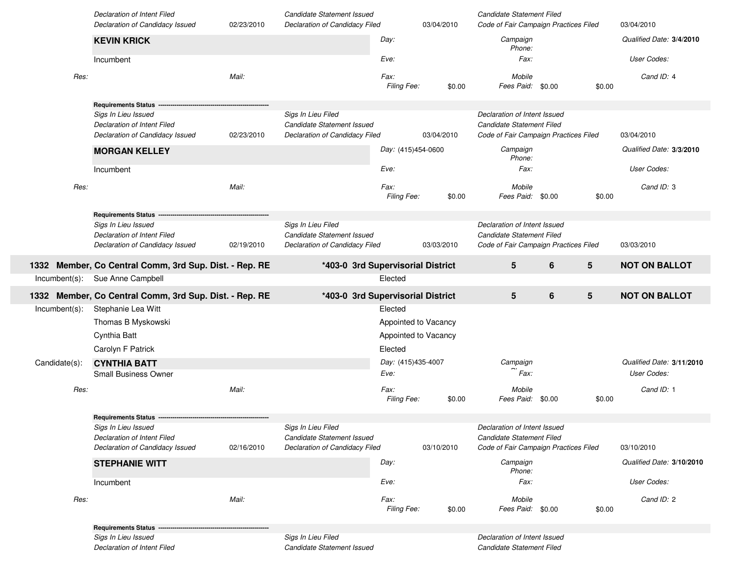|               | Declaration of Intent Filed<br>Declaration of Candidacy Issued                        | 02/23/2010 | Candidate Statement Issued<br>Declaration of Candidacy Filed                       |                            | 03/04/2010 | Candidate Statement Filed<br>Code of Fair Campaign Practices Filed                                 |                  |        | 03/04/2010                               |
|---------------|---------------------------------------------------------------------------------------|------------|------------------------------------------------------------------------------------|----------------------------|------------|----------------------------------------------------------------------------------------------------|------------------|--------|------------------------------------------|
|               | <b>KEVIN KRICK</b>                                                                    |            |                                                                                    | Day:                       |            | Campaign<br>Phone:                                                                                 |                  |        | Qualified Date: 3/4/2010                 |
|               | Incumbent                                                                             |            |                                                                                    | Eve:                       |            | Fax:                                                                                               |                  |        | User Codes:                              |
| Res:          |                                                                                       | Mail:      |                                                                                    | Fax:<br>Filing Fee:        | \$0.00     | Mobile<br>Fees Paid:                                                                               | \$0.00           | \$0.00 | Cand ID: 4                               |
|               | <b>Requirements Status</b>                                                            |            |                                                                                    |                            |            |                                                                                                    |                  |        |                                          |
|               | Sigs In Lieu Issued<br>Declaration of Intent Filed                                    |            | Sigs In Lieu Filed<br>Candidate Statement Issued                                   |                            |            | Declaration of Intent Issued<br>Candidate Statement Filed                                          |                  |        |                                          |
|               | Declaration of Candidacy Issued                                                       | 02/23/2010 | Declaration of Candidacy Filed                                                     |                            | 03/04/2010 | Code of Fair Campaign Practices Filed                                                              |                  |        | 03/04/2010                               |
|               | <b>MORGAN KELLEY</b>                                                                  |            |                                                                                    | Day: (415)454-0600         |            | Campaign<br>Phone:                                                                                 |                  |        | Qualified Date: 3/3/2010                 |
|               | Incumbent                                                                             |            |                                                                                    | Eve:                       |            | Fax:                                                                                               |                  |        | User Codes:                              |
| Res:          |                                                                                       | Mail:      |                                                                                    | Fax:<br>Filing Fee:        | \$0.00     | Mobile<br>Fees Paid: \$0.00                                                                        |                  | \$0.00 | Cand ID: 3                               |
|               | <b>Requirements Status</b>                                                            |            |                                                                                    |                            |            |                                                                                                    |                  |        |                                          |
|               | Sigs In Lieu Issued<br>Declaration of Intent Filed<br>Declaration of Candidacy Issued | 02/19/2010 | Sigs In Lieu Filed<br>Candidate Statement Issued<br>Declaration of Candidacy Filed |                            | 03/03/2010 | Declaration of Intent Issued<br>Candidate Statement Filed<br>Code of Fair Campaign Practices Filed |                  |        | 03/03/2010                               |
|               | 1332 Member, Co Central Comm, 3rd Sup. Dist. - Rep. RE                                |            | *403-0 3rd Supervisorial District                                                  |                            |            | ${\bf 5}$                                                                                          | 6                | 5      | <b>NOT ON BALLOT</b>                     |
|               | Sue Anne Campbell                                                                     |            |                                                                                    | Elected                    |            |                                                                                                    |                  |        |                                          |
| Incumbent(s): |                                                                                       |            |                                                                                    |                            |            |                                                                                                    |                  |        |                                          |
|               | 1332 Member, Co Central Comm, 3rd Sup. Dist. - Rep. RE                                |            | *403-0 3rd Supervisorial District                                                  |                            |            | ${\bf 5}$                                                                                          | $\boldsymbol{6}$ | 5      | <b>NOT ON BALLOT</b>                     |
| Incumbent(s): | Stephanie Lea Witt                                                                    |            |                                                                                    | Elected                    |            |                                                                                                    |                  |        |                                          |
|               | Thomas B Myskowski                                                                    |            |                                                                                    | Appointed to Vacancy       |            |                                                                                                    |                  |        |                                          |
|               | Cynthia Batt                                                                          |            |                                                                                    | Appointed to Vacancy       |            |                                                                                                    |                  |        |                                          |
|               | Carolyn F Patrick                                                                     |            |                                                                                    | Elected                    |            |                                                                                                    |                  |        |                                          |
| Candidate(s): | <b>CYNTHIA BATT</b><br><b>Small Business Owner</b>                                    |            |                                                                                    | Day: (415)435-4007<br>Eve: |            | Campaign<br>Fax:                                                                                   |                  |        | Qualified Date: 3/11/2010<br>User Codes: |
| Res:          |                                                                                       | Mail:      |                                                                                    | Fax:                       |            | Mobile                                                                                             |                  |        | Cand ID: 1                               |
|               |                                                                                       |            |                                                                                    | Filing Fee:                | \$0.00     | Fees Paid:                                                                                         | \$0.00           | \$0.00 |                                          |
|               | Requirements Status -                                                                 |            |                                                                                    |                            |            |                                                                                                    |                  |        |                                          |
|               | Sigs In Lieu Issued                                                                   |            | Sigs In Lieu Filed                                                                 |                            |            | Declaration of Intent Issued                                                                       |                  |        |                                          |
|               | Declaration of Intent Filed<br>Declaration of Candidacy Issued                        | 02/16/2010 | Candidate Statement Issued<br>Declaration of Candidacy Filed                       |                            | 03/10/2010 | Candidate Statement Filed<br>Code of Fair Campaign Practices Filed                                 |                  |        | 03/10/2010                               |
|               | <b>STEPHANIE WITT</b>                                                                 |            |                                                                                    | Day:                       |            | Campaign<br>Phone:                                                                                 |                  |        | Qualified Date: 3/10/2010                |
|               | Incumbent                                                                             |            |                                                                                    | Eve:                       |            | Fax:                                                                                               |                  |        | User Codes:                              |
| Res:          |                                                                                       | Mail:      |                                                                                    | Fax:<br>Filing Fee:        | \$0.00     | Mobile<br>Fees Paid: \$0.00                                                                        |                  | \$0.00 | Cand ID: 2                               |
|               | <b>Requirements Status</b>                                                            |            |                                                                                    |                            |            |                                                                                                    |                  |        |                                          |
|               | Sigs In Lieu Issued<br>Declaration of Intent Filed                                    |            | Sigs In Lieu Filed<br>Candidate Statement Issued                                   |                            |            | Declaration of Intent Issued<br>Candidate Statement Filed                                          |                  |        |                                          |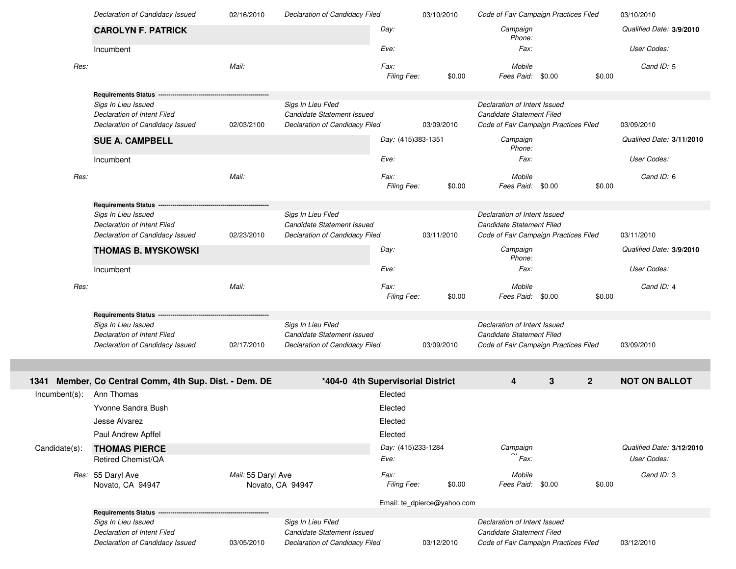|                  | Declaration of Candidacy Issued                                | 02/16/2010                             | Declaration of Candidacy Filed                               |                             | 03/10/2010 | Code of Fair Campaign Practices Filed                              |        |                | 03/10/2010                |
|------------------|----------------------------------------------------------------|----------------------------------------|--------------------------------------------------------------|-----------------------------|------------|--------------------------------------------------------------------|--------|----------------|---------------------------|
|                  | <b>CAROLYN F. PATRICK</b>                                      |                                        |                                                              | Day:                        |            | Campaign<br>Phone:                                                 |        |                | Qualified Date: 3/9/2010  |
|                  | Incumbent                                                      |                                        |                                                              | Eve:                        |            | Fax:                                                               |        |                | User Codes:               |
| Res:             |                                                                | Mail:                                  |                                                              | Fax:<br>Filing Fee:         | \$0.00     | Mobile<br>Fees Paid:                                               | \$0.00 | \$0.00         | Cand ID: 5                |
|                  | <b>Requirements Status</b>                                     |                                        |                                                              |                             |            |                                                                    |        |                |                           |
|                  | Sigs In Lieu Issued                                            |                                        | Sigs In Lieu Filed                                           |                             |            | Declaration of Intent Issued                                       |        |                |                           |
|                  | Declaration of Intent Filed                                    |                                        | Candidate Statement Issued                                   |                             |            | Candidate Statement Filed                                          |        |                |                           |
|                  | Declaration of Candidacy Issued                                | 02/03/2100                             | Declaration of Candidacy Filed                               |                             | 03/09/2010 | Code of Fair Campaign Practices Filed                              |        |                | 03/09/2010                |
|                  | <b>SUE A. CAMPBELL</b>                                         |                                        |                                                              | Day: (415)383-1351          |            | Campaign<br>Phone:                                                 |        |                | Qualified Date: 3/11/2010 |
|                  | Incumbent                                                      |                                        |                                                              | Eve:                        |            | Fax:                                                               |        |                | User Codes:               |
| Res:             |                                                                | Mail:                                  |                                                              | Fax:<br>Filing Fee:         | \$0.00     | Mobile<br>Fees Paid: \$0.00                                        |        | \$0.00         | Cand ID: 6                |
|                  | <b>Requirements Status</b>                                     |                                        |                                                              |                             |            |                                                                    |        |                |                           |
|                  | Sigs In Lieu Issued                                            |                                        | Sigs In Lieu Filed                                           |                             |            | Declaration of Intent Issued                                       |        |                |                           |
|                  | Declaration of Intent Filed                                    |                                        | Candidate Statement Issued                                   |                             |            | Candidate Statement Filed                                          |        |                |                           |
|                  | Declaration of Candidacy Issued                                | 02/23/2010                             | Declaration of Candidacy Filed                               |                             | 03/11/2010 | Code of Fair Campaign Practices Filed                              |        |                | 03/11/2010                |
|                  | <b>THOMAS B. MYSKOWSKI</b>                                     |                                        |                                                              | Day:                        |            | Campaign<br>Phone:                                                 |        |                | Qualified Date: 3/9/2010  |
|                  | Incumbent                                                      |                                        |                                                              | Eve:                        |            | Fax:                                                               |        |                | User Codes:               |
|                  |                                                                |                                        |                                                              |                             |            |                                                                    |        |                |                           |
| Res:             |                                                                | Mail:                                  |                                                              | Fax:<br>Filing Fee:         | \$0.00     | Mobile<br>Fees Paid: \$0.00                                        |        | \$0.00         | Cand ID: 4                |
|                  | <b>Requirements Status</b>                                     |                                        |                                                              |                             |            |                                                                    |        |                |                           |
|                  | Sigs In Lieu Issued                                            |                                        | Sigs In Lieu Filed                                           |                             |            | Declaration of Intent Issued                                       |        |                |                           |
|                  | Declaration of Intent Filed                                    |                                        | Candidate Statement Issued                                   |                             |            | Candidate Statement Filed                                          |        |                |                           |
|                  | Declaration of Candidacy Issued                                | 02/17/2010                             | Declaration of Candidacy Filed                               |                             | 03/09/2010 | Code of Fair Campaign Practices Filed                              |        |                | 03/09/2010                |
|                  |                                                                |                                        |                                                              |                             |            |                                                                    |        |                |                           |
|                  | 1341 Member, Co Central Comm, 4th Sup. Dist. - Dem. DE         |                                        | *404-0 4th Supervisorial District                            |                             |            | 4                                                                  | 3      | $\overline{2}$ | <b>NOT ON BALLOT</b>      |
| $Incumbent(s)$ : | Ann Thomas                                                     |                                        |                                                              | Elected                     |            |                                                                    |        |                |                           |
|                  | Yvonne Sandra Bush                                             |                                        |                                                              | Elected                     |            |                                                                    |        |                |                           |
|                  | Jesse Alvarez                                                  |                                        |                                                              | Elected                     |            |                                                                    |        |                |                           |
|                  | Paul Andrew Apffel                                             |                                        |                                                              | Elected                     |            |                                                                    |        |                |                           |
|                  |                                                                |                                        |                                                              | Day: (415)233-1284          |            | Campaign                                                           |        |                | Qualified Date: 3/12/2010 |
| Candidate(s):    | <b>THOMAS PIERCE</b><br>Retired Chemist/QA                     |                                        |                                                              | Eve:                        |            | Fax:                                                               |        |                | User Codes:               |
|                  |                                                                |                                        |                                                              | <i>Fax:</i>                 |            | Mobile                                                             |        |                | Cand ID: 3                |
|                  | Res: 55 Daryl Ave<br>Novato, CA 94947                          | Mail: 55 Daryl Ave<br>Novato, CA 94947 |                                                              | Filing Fee:                 | \$0.00     | Fees Paid: \$0.00                                                  |        | \$0.00         |                           |
|                  |                                                                |                                        |                                                              |                             |            |                                                                    |        |                |                           |
|                  | <b>Requirements Status</b>                                     |                                        |                                                              | Email: te_dpierce@yahoo.com |            |                                                                    |        |                |                           |
|                  | Sigs In Lieu Issued                                            |                                        | Sigs In Lieu Filed                                           |                             |            | Declaration of Intent Issued                                       |        |                |                           |
|                  | Declaration of Intent Filed<br>Declaration of Candidacy Issued | 03/05/2010                             | Candidate Statement Issued<br>Declaration of Candidacy Filed |                             | 03/12/2010 | Candidate Statement Filed<br>Code of Fair Campaign Practices Filed |        |                | 03/12/2010                |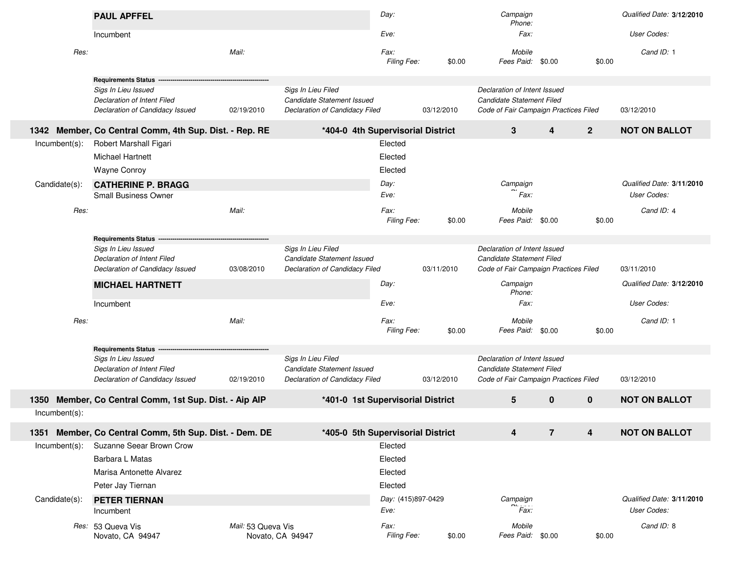|               | <b>PAUL APFFEL</b>                                                    |                    |                                                              | Day:               |            | Campaign<br>Phone:                                                 |                         |                | Qualified Date: 3/12/2010 |
|---------------|-----------------------------------------------------------------------|--------------------|--------------------------------------------------------------|--------------------|------------|--------------------------------------------------------------------|-------------------------|----------------|---------------------------|
|               | Incumbent                                                             |                    |                                                              | Eve:               |            | Fax:                                                               |                         |                | User Codes:               |
| Res:          |                                                                       | Mail:              |                                                              | Fax:               |            | Mobile                                                             |                         |                | Cand ID: 1                |
|               |                                                                       |                    |                                                              | Filing Fee:        | \$0.00     | Fees Paid: \$0.00                                                  |                         | \$0.00         |                           |
|               | <b>Requirements Status</b>                                            |                    |                                                              |                    |            |                                                                    |                         |                |                           |
|               | Sigs In Lieu Issued                                                   |                    | Sigs In Lieu Filed                                           |                    |            | Declaration of Intent Issued                                       |                         |                |                           |
|               | Declaration of Intent Filed<br>Declaration of Candidacy Issued        | 02/19/2010         | Candidate Statement Issued<br>Declaration of Candidacy Filed |                    | 03/12/2010 | Candidate Statement Filed<br>Code of Fair Campaign Practices Filed |                         |                | 03/12/2010                |
| 1342          | Member, Co Central Comm, 4th Sup. Dist. - Rep. RE                     |                    | *404-0 4th Supervisorial District                            |                    |            | 3                                                                  | $\overline{\mathbf{4}}$ | 2 <sup>1</sup> | <b>NOT ON BALLOT</b>      |
| Incumbent(s): | Robert Marshall Figari                                                |                    |                                                              | Elected            |            |                                                                    |                         |                |                           |
|               | <b>Michael Hartnett</b>                                               |                    |                                                              | Elected            |            |                                                                    |                         |                |                           |
|               | <b>Wayne Conroy</b>                                                   |                    |                                                              | Elected            |            |                                                                    |                         |                |                           |
| Candidate(s): | <b>CATHERINE P. BRAGG</b>                                             |                    |                                                              | Day:               |            | Campaign                                                           |                         |                | Qualified Date: 3/11/2010 |
|               | Small Business Owner                                                  |                    |                                                              | Eve:               |            | Fax:                                                               |                         |                | User Codes:               |
| Res:          |                                                                       | Mail:              |                                                              | Fax:               |            | Mobile                                                             |                         |                | Cand ID: 4                |
|               |                                                                       |                    |                                                              | Filing Fee:        | \$0.00     | Fees Paid:                                                         | \$0.00                  | \$0.00         |                           |
|               | <b>Requirements Status -</b>                                          |                    |                                                              |                    |            |                                                                    |                         |                |                           |
|               | Sigs In Lieu Issued                                                   |                    | Sigs In Lieu Filed                                           |                    |            | Declaration of Intent Issued                                       |                         |                |                           |
|               | Declaration of Intent Filed                                           |                    | Candidate Statement Issued                                   |                    |            | Candidate Statement Filed                                          |                         |                |                           |
|               | Declaration of Candidacy Issued                                       | 03/08/2010         | Declaration of Candidacy Filed                               |                    | 03/11/2010 | Code of Fair Campaign Practices Filed                              |                         |                | 03/11/2010                |
|               | <b>MICHAEL HARTNETT</b>                                               |                    |                                                              | Day:               |            | Campaign<br>Phone:                                                 |                         |                | Qualified Date: 3/12/2010 |
|               | Incumbent                                                             |                    |                                                              | Eve:               |            | Fax:                                                               |                         |                | User Codes:               |
| Res:          |                                                                       | Mail:              |                                                              | Fax:               |            | Mobile                                                             |                         |                | Cand ID: 1                |
|               |                                                                       |                    |                                                              | Filing Fee:        | \$0.00     | Fees Paid:                                                         | \$0.00                  | \$0.00         |                           |
|               | <b>Requirements Status -</b>                                          |                    |                                                              |                    |            |                                                                    |                         |                |                           |
|               | Sigs In Lieu Issued                                                   |                    | Sigs In Lieu Filed                                           |                    |            | Declaration of Intent Issued                                       |                         |                |                           |
|               | <b>Declaration of Intent Filed</b><br>Declaration of Candidacy Issued |                    | Candidate Statement Issued                                   |                    |            | Candidate Statement Filed                                          |                         |                |                           |
|               |                                                                       | 02/19/2010         | Declaration of Candidacy Filed                               |                    | 03/12/2010 | Code of Fair Campaign Practices Filed                              |                         |                | 03/12/2010                |
| 1350          | Member, Co Central Comm, 1st Sup. Dist. - Aip AIP                     |                    | *401-0 1st Supervisorial District                            |                    |            | 5                                                                  | $\mathbf{0}$            | $\mathbf 0$    | <b>NOT ON BALLOT</b>      |
| Incumbent(s): |                                                                       |                    |                                                              |                    |            |                                                                    |                         |                |                           |
|               | 1351 Member, Co Central Comm, 5th Sup. Dist. - Dem. DE                |                    | *405-0 5th Supervisorial District                            |                    |            | 4                                                                  | $\overline{7}$          | 4              | <b>NOT ON BALLOT</b>      |
| Incumbent(s): | Suzanne Seear Brown Crow                                              |                    |                                                              | Elected            |            |                                                                    |                         |                |                           |
|               | Barbara L Matas                                                       |                    |                                                              | Elected            |            |                                                                    |                         |                |                           |
|               | Marisa Antonette Alvarez                                              |                    |                                                              | Elected            |            |                                                                    |                         |                |                           |
|               | Peter Jay Tiernan                                                     |                    |                                                              | Elected            |            |                                                                    |                         |                |                           |
| Candidate(s): | <b>PETER TIERNAN</b>                                                  |                    |                                                              | Day: (415)897-0429 |            | Campaign                                                           |                         |                | Qualified Date: 3/11/2010 |
|               | Incumbent                                                             |                    |                                                              | Eve:               |            | Fax:                                                               |                         |                | User Codes:               |
|               | Res: 53 Queva Vis                                                     | Mail: 53 Queva Vis |                                                              | Fax:               |            | Mobile                                                             |                         |                | Cand ID: 8                |
|               | Novato, CA 94947                                                      | Novato, CA 94947   |                                                              | Filing Fee:        | \$0.00     | Fees Paid: \$0.00                                                  |                         | \$0.00         |                           |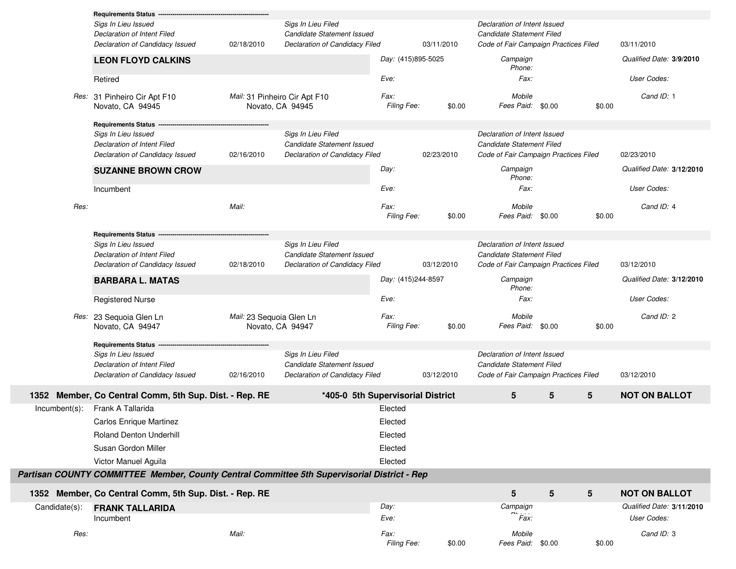|                  | <b>Requirements Status</b><br>Sigs In Lieu Issued<br>Declaration of Intent Filed<br>Declaration of Candidacy Issued<br><b>LEON FLOYD CALKINS</b> | 02/18/2010                                        | Sigs In Lieu Filed<br>Candidate Statement Issued<br>Declaration of Candidacy Filed | Day: (415)895-5025  | 03/11/2010 | Declaration of Intent Issued<br>Candidate Statement Filed<br>Code of Fair Campaign Practices Filed<br>Campaign<br>Phone: |                 |        | 03/11/2010<br>Qualified Date: 3/9/2010   |
|------------------|--------------------------------------------------------------------------------------------------------------------------------------------------|---------------------------------------------------|------------------------------------------------------------------------------------|---------------------|------------|--------------------------------------------------------------------------------------------------------------------------|-----------------|--------|------------------------------------------|
|                  | Retired                                                                                                                                          |                                                   |                                                                                    | Eve:                |            | Fax:                                                                                                                     |                 |        | User Codes:                              |
|                  | Res: 31 Pinheiro Cir Apt F10<br>Novato, CA 94945                                                                                                 | Mail: 31 Pinheiro Cir Apt F10<br>Novato, CA 94945 |                                                                                    | Fax:<br>Filing Fee: | \$0.00     | Mobile<br>Fees Paid: \$0.00                                                                                              |                 | \$0.00 | Cand ID: 1                               |
|                  | <b>Requirements Status</b>                                                                                                                       |                                                   |                                                                                    |                     |            |                                                                                                                          |                 |        |                                          |
|                  | Sigs In Lieu Issued<br>Declaration of Intent Filed<br>Declaration of Candidacy Issued                                                            | 02/16/2010                                        | Sigs In Lieu Filed<br>Candidate Statement Issued<br>Declaration of Candidacy Filed |                     | 02/23/2010 | Declaration of Intent Issued<br>Candidate Statement Filed<br>Code of Fair Campaign Practices Filed                       |                 |        | 02/23/2010                               |
|                  | <b>SUZANNE BROWN CROW</b>                                                                                                                        |                                                   |                                                                                    | Day:                |            | Campaign<br>Phone:                                                                                                       |                 |        | Qualified Date: 3/12/2010                |
|                  | Incumbent                                                                                                                                        |                                                   |                                                                                    | Eve:                |            | Fax:                                                                                                                     |                 |        | User Codes:                              |
| Res:             |                                                                                                                                                  | Mail:                                             |                                                                                    | Fax:<br>Filing Fee: | \$0.00     | Mobile<br>Fees Paid: \$0.00                                                                                              |                 | \$0.00 | Cand ID: 4                               |
|                  | <b>Requirements Status</b>                                                                                                                       |                                                   |                                                                                    |                     |            |                                                                                                                          |                 |        |                                          |
|                  | Sigs In Lieu Issued<br>Declaration of Intent Filed<br>Declaration of Candidacy Issued                                                            | 02/18/2010                                        | Sigs In Lieu Filed<br>Candidate Statement Issued<br>Declaration of Candidacy Filed |                     | 03/12/2010 | Declaration of Intent Issued<br>Candidate Statement Filed<br>Code of Fair Campaign Practices Filed                       |                 |        | 03/12/2010                               |
|                  | <b>BARBARA L. MATAS</b>                                                                                                                          |                                                   |                                                                                    | Day: (415)244-8597  |            | Campaign                                                                                                                 |                 |        | Qualified Date: 3/12/2010                |
|                  | <b>Registered Nurse</b>                                                                                                                          |                                                   |                                                                                    | Eve:                |            | Phone:<br>Fax:                                                                                                           |                 |        | User Codes:                              |
|                  | Res: 23 Sequoia Glen Ln<br>Novato, CA 94947                                                                                                      | Mail: 23 Sequoia Glen Ln<br>Novato, CA 94947      |                                                                                    | Fax:<br>Filing Fee: | \$0.00     | Mobile<br>Fees Paid: \$0.00                                                                                              |                 | \$0.00 | Cand ID: 2                               |
|                  | <b>Requirements Status</b>                                                                                                                       |                                                   |                                                                                    |                     |            |                                                                                                                          |                 |        |                                          |
|                  | Sigs In Lieu Issued<br>Declaration of Intent Filed<br>Declaration of Candidacy Issued                                                            | 02/16/2010                                        | Sigs In Lieu Filed<br>Candidate Statement Issued<br>Declaration of Candidacy Filed |                     | 03/12/2010 | Declaration of Intent Issued<br>Candidate Statement Filed<br>Code of Fair Campaign Practices Filed                       |                 |        | 03/12/2010                               |
|                  | 1352 Member, Co Central Comm, 5th Sup. Dist. - Rep. RE                                                                                           |                                                   | *405-0 5th Supervisorial District                                                  |                     |            | 5                                                                                                                        | 5               | 5      | <b>NOT ON BALLOT</b>                     |
| $Incumbent(s)$ : | Frank A Tallarida                                                                                                                                |                                                   |                                                                                    | Elected             |            |                                                                                                                          |                 |        |                                          |
|                  | Carlos Enrique Martinez                                                                                                                          |                                                   |                                                                                    | Elected             |            |                                                                                                                          |                 |        |                                          |
|                  | Roland Denton Underhill                                                                                                                          |                                                   |                                                                                    | Elected             |            |                                                                                                                          |                 |        |                                          |
|                  | Susan Gordon Miller                                                                                                                              |                                                   |                                                                                    | Elected             |            |                                                                                                                          |                 |        |                                          |
|                  | Victor Manuel Aguila                                                                                                                             |                                                   |                                                                                    | Elected             |            |                                                                                                                          |                 |        |                                          |
|                  | Partisan COUNTY COMMITTEE Member, County Central Committee 5th Supervisorial District - Rep                                                      |                                                   |                                                                                    |                     |            |                                                                                                                          |                 |        |                                          |
|                  | 1352 Member, Co Central Comm, 5th Sup. Dist. - Rep. RE                                                                                           |                                                   |                                                                                    |                     |            | ${\bf 5}$                                                                                                                | $5\phantom{.0}$ | 5      | <b>NOT ON BALLOT</b>                     |
| Candidate(s):    | <b>FRANK TALLARIDA</b><br>Incumbent                                                                                                              |                                                   |                                                                                    | Day:<br>Eve:        |            | Campaign<br>$r_{\text{Fax:}}$                                                                                            |                 |        | Qualified Date: 3/11/2010<br>User Codes: |
| Res:             |                                                                                                                                                  | Mail:                                             |                                                                                    | Fax:<br>Filing Fee: | \$0.00     | Mobile<br>Fees Paid: \$0.00                                                                                              |                 | \$0.00 | Cand ID: 3                               |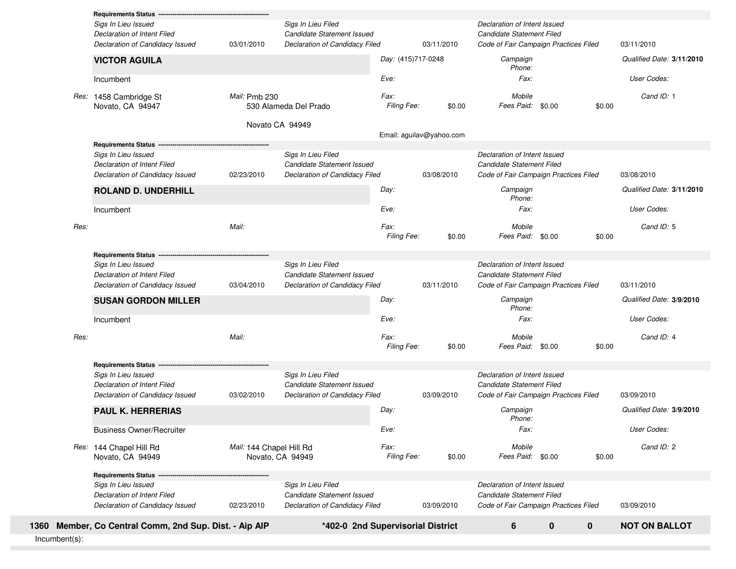| Incumbent(s): |                                                                                                                     |                          |                                                                                           |                            |                          |                                                                                                    |                  |        |                                         |
|---------------|---------------------------------------------------------------------------------------------------------------------|--------------------------|-------------------------------------------------------------------------------------------|----------------------------|--------------------------|----------------------------------------------------------------------------------------------------|------------------|--------|-----------------------------------------|
|               | 1360 Member, Co Central Comm, 2nd Sup. Dist. - Aip AIP                                                              |                          | *402-0 2nd Supervisorial District                                                         |                            |                          | 6                                                                                                  | 0<br>$\mathbf 0$ |        | <b>NOT ON BALLOT</b>                    |
|               | <b>Requirements Status</b><br>Sigs In Lieu Issued<br>Declaration of Intent Filed<br>Declaration of Candidacy Issued | 02/23/2010               | Sigs In Lieu Filed<br>Candidate Statement Issued<br><b>Declaration of Candidacy Filed</b> |                            | 03/09/2010               | Declaration of Intent Issued<br>Candidate Statement Filed<br>Code of Fair Campaign Practices Filed |                  |        | 03/09/2010                              |
|               | Res: 144 Chapel Hill Rd<br>Novato, CA 94949                                                                         | Mail: 144 Chapel Hill Rd | Novato, CA 94949                                                                          | Fax:<br>Filing Fee:        | \$0.00                   | Mobile<br>Fees Paid: \$0.00                                                                        |                  | \$0.00 | Cand ID: 2                              |
|               | <b>Business Owner/Recruiter</b>                                                                                     |                          |                                                                                           | Eve:                       |                          | Fax:                                                                                               |                  |        | User Codes:                             |
|               | <b>PAUL K. HERRERIAS</b>                                                                                            |                          |                                                                                           | Day:                       |                          | Campaign<br>Phone:                                                                                 |                  |        | Qualified Date: 3/9/2010                |
|               | Declaration of Candidacy Issued                                                                                     | 03/02/2010               | Declaration of Candidacy Filed                                                            |                            | 03/09/2010               | Code of Fair Campaign Practices Filed                                                              |                  |        | 03/09/2010                              |
|               | <b>Requirements Status -</b><br>Sigs In Lieu Issued<br>Declaration of Intent Filed                                  |                          | Sigs In Lieu Filed<br>Candidate Statement Issued                                          |                            |                          | Declaration of Intent Issued<br>Candidate Statement Filed                                          |                  |        |                                         |
| Res:          |                                                                                                                     | Mail:                    |                                                                                           | Fax:<br><b>Filing Fee:</b> | \$0.00                   | Mobile<br>Fees Paid: \$0.00                                                                        |                  | \$0.00 | Cand ID: 4                              |
|               | Incumbent                                                                                                           |                          |                                                                                           | Eve:                       |                          | Fax:                                                                                               |                  |        | User Codes:                             |
|               | <b>SUSAN GORDON MILLER</b>                                                                                          |                          |                                                                                           | Day:                       |                          | Campaign<br>Phone:                                                                                 |                  |        | Qualified Date: 3/9/2010                |
|               | Declaration of Candidacy Issued                                                                                     | 03/04/2010               | Declaration of Candidacy Filed                                                            |                            | 03/11/2010               | Code of Fair Campaign Practices Filed                                                              |                  |        | 03/11/2010                              |
|               | <b>Requirements Status -</b><br>Sigs In Lieu Issued<br><b>Declaration of Intent Filed</b>                           |                          | Sigs In Lieu Filed<br>Candidate Statement Issued                                          |                            |                          | Declaration of Intent Issued<br>Candidate Statement Filed                                          |                  |        |                                         |
|               |                                                                                                                     |                          |                                                                                           | Filing Fee:                | \$0.00                   | Fees Paid:                                                                                         | \$0.00           | \$0.00 |                                         |
| Res:          |                                                                                                                     | Mail:                    |                                                                                           | Fax:                       |                          | Mobile                                                                                             |                  |        | Cand ID: 5                              |
|               | <b>ROLAND D. UNDERHILL</b><br>Incumbent                                                                             |                          |                                                                                           | Day:<br>Eve:               |                          | Campaign<br>Phone:<br>Fax:                                                                         |                  |        | User Codes:                             |
|               | Declaration of Candidacy Issued                                                                                     | 02/23/2010               | Declaration of Candidacy Filed                                                            |                            | 03/08/2010               | Code of Fair Campaign Practices Filed                                                              |                  |        | 03/08/2010<br>Qualified Date: 3/11/2010 |
|               | <b>Requirements Status</b><br>Sigs In Lieu Issued<br>Declaration of Intent Filed                                    |                          | Sigs In Lieu Filed<br>Candidate Statement Issued                                          |                            |                          | Declaration of Intent Issued<br>Candidate Statement Filed                                          |                  |        |                                         |
|               |                                                                                                                     |                          | Novato CA 94949                                                                           |                            | Email: aguilav@yahoo.com |                                                                                                    |                  |        |                                         |
|               | Res: 1458 Cambridge St<br>Novato, CA 94947                                                                          | Mail: Pmb 230            | 530 Alameda Del Prado                                                                     | Fax:<br>Filing Fee:        | \$0.00                   | Mobile<br>Fees Paid: \$0.00                                                                        |                  | \$0.00 | Cand ID: 1                              |
|               | Incumbent                                                                                                           |                          |                                                                                           | Eve:                       |                          | Fax:                                                                                               |                  |        | User Codes:                             |
|               | <b>VICTOR AGUILA</b>                                                                                                |                          |                                                                                           | Day: (415)717-0248         |                          | Campaign<br>Phone:                                                                                 |                  |        | Qualified Date: 3/11/2010               |
|               | Declaration of Candidacy Issued                                                                                     | 03/01/2010               | Declaration of Candidacy Filed                                                            |                            | 03/11/2010               | Code of Fair Campaign Practices Filed                                                              |                  |        | 03/11/2010                              |
|               | Sigs In Lieu Issued<br>Declaration of Intent Filed                                                                  |                          | Sigs In Lieu Filed<br>Candidate Statement Issued                                          |                            |                          | Declaration of Intent Issued<br>Candidate Statement Filed                                          |                  |        |                                         |
|               | <b>Requirements Status</b>                                                                                          |                          |                                                                                           |                            |                          |                                                                                                    |                  |        |                                         |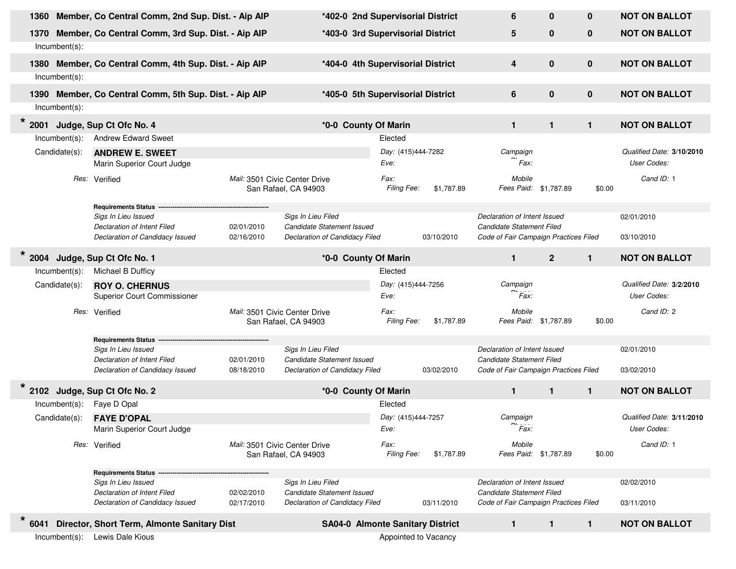| 1360                                | Member, Co Central Comm, 2nd Sup. Dist. - Aip AIP               |                               | *402-0 2nd Supervisorial District       |                      |            | 6                                     | $\bf{0}$       | $\bf{0}$     | <b>NOT ON BALLOT</b>      |
|-------------------------------------|-----------------------------------------------------------------|-------------------------------|-----------------------------------------|----------------------|------------|---------------------------------------|----------------|--------------|---------------------------|
| 1370                                | Member, Co Central Comm, 3rd Sup. Dist. - Aip AIP               |                               | *403-0 3rd Supervisorial District       |                      |            | 5                                     | $\bf{0}$       | $\mathbf 0$  | <b>NOT ON BALLOT</b>      |
| $Incumbent(s)$ :                    |                                                                 |                               |                                         |                      |            |                                       |                |              |                           |
|                                     |                                                                 |                               |                                         |                      |            |                                       |                |              |                           |
|                                     | 1380 Member, Co Central Comm, 4th Sup. Dist. - Aip AIP          |                               | *404-0 4th Supervisorial District       |                      |            | 4                                     | $\bf{0}$       | $\bf{0}$     | <b>NOT ON BALLOT</b>      |
| $Incumbent(s)$ :                    |                                                                 |                               |                                         |                      |            |                                       |                |              |                           |
|                                     | 1390 Member, Co Central Comm, 5th Sup. Dist. - Aip AIP          |                               | *405-0 5th Supervisorial District       |                      |            | 6                                     | $\bf{0}$       | $\bf{0}$     | <b>NOT ON BALLOT</b>      |
| $Incumbent(s)$ :                    |                                                                 |                               |                                         |                      |            |                                       |                |              |                           |
| $\star$<br>2001                     | Judge, Sup Ct Ofc No. 4                                         |                               | *0-0 County Of Marin                    |                      |            | $\mathbf{1}$                          | 1              | $\mathbf{1}$ | <b>NOT ON BALLOT</b>      |
| $Incumbent(s)$ :                    | <b>Andrew Edward Sweet</b>                                      |                               |                                         | Elected              |            |                                       |                |              |                           |
| Candidate(s):                       | <b>ANDREW E. SWEET</b>                                          |                               |                                         | Day: (415)444-7282   |            | Campaign                              |                |              | Qualified Date: 3/10/2010 |
|                                     | Marin Superior Court Judge                                      |                               |                                         | Eve:                 |            | Fax                                   |                |              | User Codes:               |
|                                     | Res: Verified                                                   | Mail: 3501 Civic Center Drive |                                         | Fax:                 |            | Mobile                                |                |              | Cand ID: 1                |
|                                     |                                                                 |                               | San Rafael, CA 94903                    | Filing Fee:          | \$1,787.89 | Fees Paid: \$1,787.89                 |                | \$0.00       |                           |
|                                     | <b>Requirements Status</b>                                      |                               |                                         |                      |            |                                       |                |              |                           |
|                                     | Sigs In Lieu Issued                                             |                               | Sigs In Lieu Filed                      |                      |            | Declaration of Intent Issued          |                |              | 02/01/2010                |
|                                     | Declaration of Intent Filed                                     | 02/01/2010                    | Candidate Statement Issued              |                      |            | Candidate Statement Filed             |                |              |                           |
|                                     | Declaration of Candidacy Issued                                 | 02/16/2010                    | Declaration of Candidacy Filed          |                      | 03/10/2010 | Code of Fair Campaign Practices Filed |                |              | 03/10/2010                |
| $\star$<br>2004                     | Judge, Sup Ct Ofc No. 1                                         |                               | *0-0 County Of Marin                    |                      |            | $\mathbf{1}$                          | $\overline{2}$ | $\mathbf{1}$ | <b>NOT ON BALLOT</b>      |
| $Incumbent(s)$ :                    | Michael B Dufficy                                               |                               |                                         | Elected              |            |                                       |                |              |                           |
| Candidate(s):                       | <b>ROY O. CHERNUS</b>                                           |                               |                                         | Day: (415)444-7256   |            | Campaign                              |                |              | Qualified Date: 3/2/2010  |
|                                     | <b>Superior Court Commissioner</b>                              |                               |                                         | Eve:                 |            | Fax:                                  |                |              | User Codes:               |
|                                     | Res: Verified                                                   | Mail: 3501 Civic Center Drive |                                         | Fax:                 |            | Mobile                                |                |              | Cand ID: 2                |
|                                     |                                                                 |                               | San Rafael, CA 94903                    | Filing Fee:          | \$1,787.89 | Fees Paid: \$1,787.89                 |                | \$0.00       |                           |
|                                     |                                                                 |                               |                                         |                      |            |                                       |                |              |                           |
|                                     | <b>Requirements Status</b><br>Sigs In Lieu Issued               |                               | Sigs In Lieu Filed                      |                      |            | Declaration of Intent Issued          |                |              | 02/01/2010                |
|                                     | Declaration of Intent Filed                                     | 02/01/2010                    | Candidate Statement Issued              |                      |            | Candidate Statement Filed             |                |              |                           |
|                                     | Declaration of Candidacy Issued                                 | 08/18/2010                    | Declaration of Candidacy Filed          |                      | 03/02/2010 | Code of Fair Campaign Practices Filed |                |              | 03/02/2010                |
|                                     | 2102 Judge, Sup Ct Ofc No. 2                                    |                               | *0-0 County Of Marin                    |                      |            | $\mathbf{1}$                          | $\mathbf{1}$   | $\mathbf{1}$ | <b>NOT ON BALLOT</b>      |
| $Incumbent(s)$ :                    | Faye D Opal                                                     |                               |                                         | Elected              |            |                                       |                |              |                           |
| Candidate(s):                       | <b>FAYE D'OPAL</b>                                              |                               |                                         | Day: (415)444-7257   |            | Campaign                              |                |              | Qualified Date: 3/11/2010 |
|                                     | Marin Superior Court Judge                                      |                               |                                         | Eve:                 |            | Fax:                                  |                |              | User Codes:               |
|                                     | Res: Verified                                                   | Mail: 3501 Civic Center Drive | San Rafael, CA 94903                    | Fax:<br>Filing Fee:  | \$1,787.89 | Mobile<br>Fees Paid: \$1,787.89       |                | \$0.00       | Cand ID: 1                |
|                                     | <b>Requirements Status</b>                                      |                               |                                         |                      |            |                                       |                |              |                           |
|                                     | Sigs In Lieu Issued                                             |                               | Sigs In Lieu Filed                      |                      |            | Declaration of Intent Issued          |                |              | 02/02/2010                |
|                                     | Declaration of Intent Filed                                     | 02/02/2010                    | Candidate Statement Issued              |                      |            | Candidate Statement Filed             |                |              |                           |
|                                     | Declaration of Candidacy Issued                                 | 02/17/2010                    | Declaration of Candidacy Filed          |                      | 03/11/2010 | Code of Fair Campaign Practices Filed |                |              | 03/11/2010                |
| $\star$<br>6041<br>$Incumbent(s)$ : | Director, Short Term, Almonte Sanitary Dist<br>Lewis Dale Kious |                               | <b>SA04-0 Almonte Sanitary District</b> | Appointed to Vacancy |            | $\mathbf{1}$                          | $\mathbf{1}$   | $\mathbf{1}$ | <b>NOT ON BALLOT</b>      |